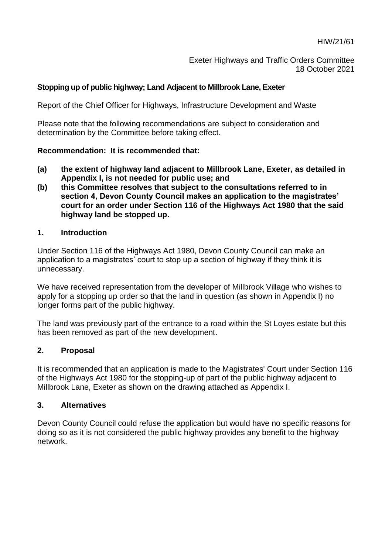HIW/21/61

Exeter Highways and Traffic Orders Committee 18 October 2021

#### **Stopping up of public highway; Land Adjacent to Millbrook Lane, Exeter**

Report of the Chief Officer for Highways, Infrastructure Development and Waste

Please note that the following recommendations are subject to consideration and determination by the Committee before taking effect.

#### **Recommendation: It is recommended that:**

- **(a) the extent of highway land adjacent to Millbrook Lane, Exeter, as detailed in Appendix I, is not needed for public use; and**
- **(b) this Committee resolves that subject to the consultations referred to in section 4, Devon County Council makes an application to the magistrates' court for an order under Section 116 of the Highways Act 1980 that the said highway land be stopped up.**

#### **1. Introduction**

Under Section 116 of the Highways Act 1980, Devon County Council can make an application to a magistrates' court to stop up a section of highway if they think it is unnecessary.

We have received representation from the developer of Millbrook Village who wishes to apply for a stopping up order so that the land in question (as shown in Appendix I) no longer forms part of the public highway.

The land was previously part of the entrance to a road within the St Loyes estate but this has been removed as part of the new development.

#### **2. Proposal**

It is recommended that an application is made to the Magistrates' Court under Section 116 of the Highways Act 1980 for the stopping-up of part of the public highway adjacent to Millbrook Lane, Exeter as shown on the drawing attached as Appendix I.

#### **3. Alternatives**

Devon County Council could refuse the application but would have no specific reasons for doing so as it is not considered the public highway provides any benefit to the highway network.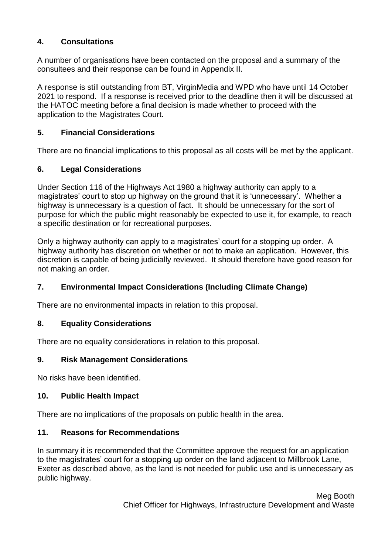# **4. Consultations**

A number of organisations have been contacted on the proposal and a summary of the consultees and their response can be found in Appendix II.

A response is still outstanding from BT, VirginMedia and WPD who have until 14 October 2021 to respond. If a response is received prior to the deadline then it will be discussed at the HATOC meeting before a final decision is made whether to proceed with the application to the Magistrates Court.

# **5. Financial Considerations**

There are no financial implications to this proposal as all costs will be met by the applicant.

## **6. Legal Considerations**

Under Section 116 of the Highways Act 1980 a highway authority can apply to a magistrates' court to stop up highway on the ground that it is 'unnecessary'. Whether a highway is unnecessary is a question of fact. It should be unnecessary for the sort of purpose for which the public might reasonably be expected to use it, for example, to reach a specific destination or for recreational purposes.

Only a highway authority can apply to a magistrates' court for a stopping up order. A highway authority has discretion on whether or not to make an application. However, this discretion is capable of being judicially reviewed. It should therefore have good reason for not making an order.

# **7. Environmental Impact Considerations (Including Climate Change)**

There are no environmental impacts in relation to this proposal.

## **8. Equality Considerations**

There are no equality considerations in relation to this proposal.

## **9. Risk Management Considerations**

No risks have been identified.

## **10. Public Health Impact**

There are no implications of the proposals on public health in the area.

## **11. Reasons for Recommendations**

In summary it is recommended that the Committee approve the request for an application to the magistrates' court for a stopping up order on the land adjacent to Millbrook Lane, Exeter as described above, as the land is not needed for public use and is unnecessary as public highway.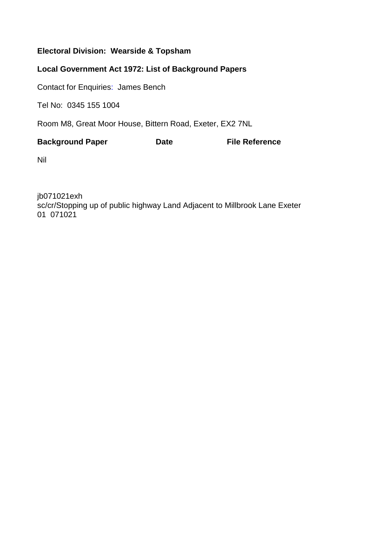# **Electoral Division: Wearside & Topsham**

# **Local Government Act 1972: List of Background Papers**

Contact for Enquiries: James Bench

Tel No: 0345 155 1004

Room M8, Great Moor House, Bittern Road, Exeter, EX2 7NL

| <b>Background Paper</b> | <b>Date</b> | <b>File Reference</b> |
|-------------------------|-------------|-----------------------|
|                         |             |                       |

Nil

jb071021exh sc/cr/Stopping up of public highway Land Adjacent to Millbrook Lane Exeter 01 071021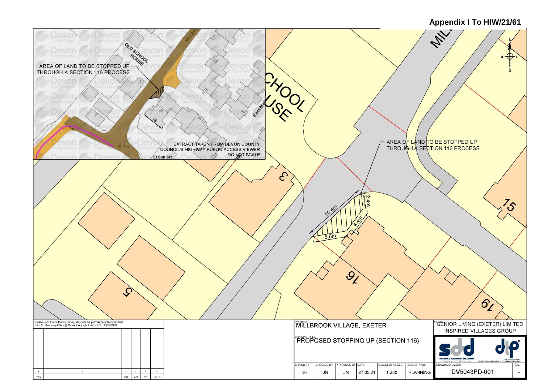